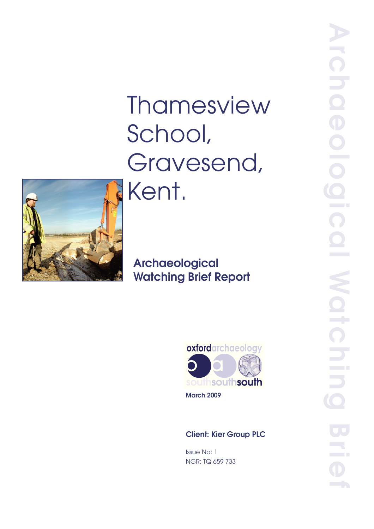# Thamesview School, Gravesend, Kent.



# Archaeological Watching Brief Report



March 2009

# Client: Kier Group PLC

Issue No: 1 NGR: TQ 659 733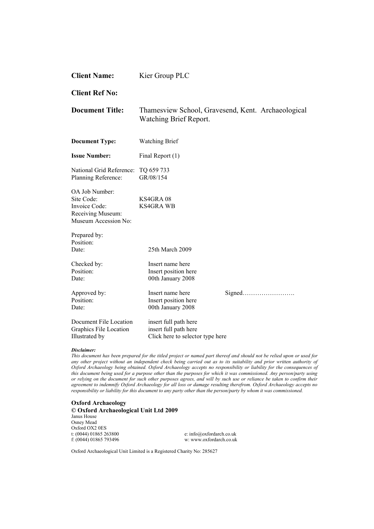| <b>Client Name:</b>                                                                        | Kier Group PLC                                                                      |        |  |  |
|--------------------------------------------------------------------------------------------|-------------------------------------------------------------------------------------|--------|--|--|
| <b>Client Ref No:</b>                                                                      |                                                                                     |        |  |  |
| <b>Document Title:</b>                                                                     | Thamesview School, Gravesend, Kent. Archaeological<br><b>Watching Brief Report.</b> |        |  |  |
| <b>Document Type:</b>                                                                      | <b>Watching Brief</b>                                                               |        |  |  |
| <b>Issue Number:</b>                                                                       | Final Report (1)                                                                    |        |  |  |
| National Grid Reference:<br>Planning Reference:                                            | TQ 659 733<br>GR/08/154                                                             |        |  |  |
| OA Job Number:<br>Site Code:<br>Invoice Code:<br>Receiving Museum:<br>Museum Accession No: | KS4GRA08<br><b>KS4GRA WB</b>                                                        |        |  |  |
| Prepared by:<br>Position:<br>Date:                                                         | 25th March 2009                                                                     |        |  |  |
| Checked by:<br>Position:<br>Date:                                                          | Insert name here<br>Insert position here<br>00th January 2008                       |        |  |  |
| Approved by:<br>Position:<br>Date:                                                         | Insert name here<br>Insert position here<br>00th January 2008                       | Signed |  |  |
| Document File Location<br>Graphics File Location<br>Illustrated by                         | insert full path here<br>insert full path here<br>Click here to selector type here  |        |  |  |

#### *Disclaimer:*

*This document has been prepared for the titled project or named part thereof and should not be relied upon or used for any other project without an independent check being carried out as to its suitability and prior written authority of Oxford Archaeology being obtained. Oxford Archaeology accepts no responsibility or liability for the consequences of this document being used for a purpose other than the purposes for which it was commissioned. Any person/party using or relying on the document for such other purposes agrees, and will by such use or reliance be taken to confirm their agreement to indemnify Oxford Archaeology for all loss or damage resulting therefrom. Oxford Archaeology accepts no responsibility or liability for this document to any party other than the person/party by whom it was commissioned.* 

#### **Oxford Archaeology**

**© Oxford Archaeological Unit Ltd 2009**  Janus House Osney Mead Oxford OX2 0ES<br>t: (0044) 01865 263800 t: (0044) 01865 263800 e: info@oxfordarch.co.uk<br>f: (0044) 01865 793496 w: www.oxfordarch.co.uk

w: www.oxfordarch.co.uk

Oxford Archaeological Unit Limited is a Registered Charity No: 285627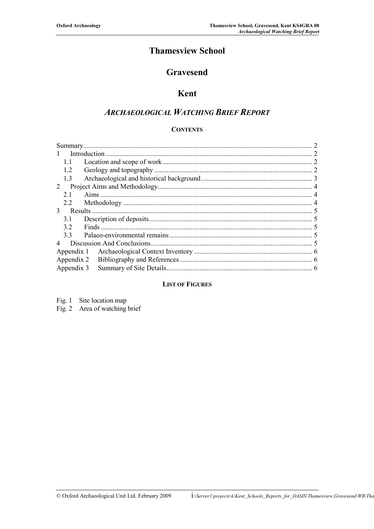# **Thamesview School**

# **Gravesend**

### **Kent**

## *ARCHAEOLOGICAL WATCHING BRIEF REPORT*

#### **CONTENTS**

| $\mathbf{1}$  |                          |  |  |  |  |
|---------------|--------------------------|--|--|--|--|
| 1.1           |                          |  |  |  |  |
| 1.2           |                          |  |  |  |  |
| 1.3           |                          |  |  |  |  |
| 2             |                          |  |  |  |  |
| 21            |                          |  |  |  |  |
| 2.2           |                          |  |  |  |  |
| $\mathcal{E}$ |                          |  |  |  |  |
| 3.1           |                          |  |  |  |  |
| 32            |                          |  |  |  |  |
| 33            |                          |  |  |  |  |
|               |                          |  |  |  |  |
|               | Appendix 1               |  |  |  |  |
|               |                          |  |  |  |  |
|               | Appendix 2<br>Appendix 3 |  |  |  |  |

#### **LIST OF FIGURES**

| Fig. 1 Site location map      |
|-------------------------------|
| Fig. 2 Area of watching brief |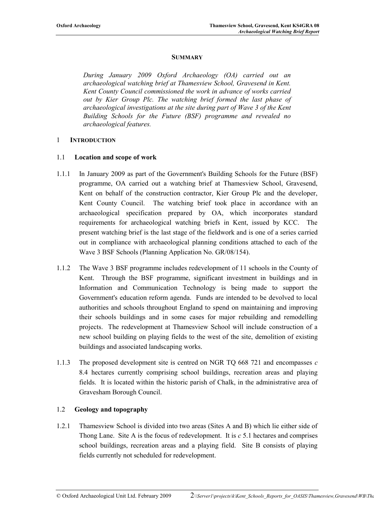#### **SUMMARY**

*During January 2009 Oxford Archaeology (OA) carried out an archaeological watching brief at Thamesview School, Gravesend in Kent. Kent County Council commissioned the work in advance of works carried out by Kier Group Plc. The watching brief formed the last phase of archaeological investigations at the site during part of Wave 3 of the Kent Building Schools for the Future (BSF) programme and revealed no archaeological features.* 

#### 1 **INTRODUCTION**

#### 1.1 **Location and scope of work**

- 1.1.1 In January 2009 as part of the Government's Building Schools for the Future (BSF) programme, OA carried out a watching brief at Thamesview School, Gravesend, Kent on behalf of the construction contractor, Kier Group Plc and the developer, Kent County Council. The watching brief took place in accordance with an archaeological specification prepared by OA, which incorporates standard requirements for archaeological watching briefs in Kent, issued by KCC. The present watching brief is the last stage of the fieldwork and is one of a series carried out in compliance with archaeological planning conditions attached to each of the Wave 3 BSF Schools (Planning Application No. GR/08/154).
- 1.1.2 The Wave 3 BSF programme includes redevelopment of 11 schools in the County of Kent. Through the BSF programme, significant investment in buildings and in Information and Communication Technology is being made to support the Government's education reform agenda. Funds are intended to be devolved to local authorities and schools throughout England to spend on maintaining and improving their schools buildings and in some cases for major rebuilding and remodelling projects. The redevelopment at Thamesview School will include construction of a new school building on playing fields to the west of the site, demolition of existing buildings and associated landscaping works.
- 1.1.3 The proposed development site is centred on NGR TQ 668 721 and encompasses *c* 8.4 hectares currently comprising school buildings, recreation areas and playing fields. It is located within the historic parish of Chalk, in the administrative area of Gravesham Borough Council.

#### 1.2 **Geology and topography**

1.2.1 Thamesview School is divided into two areas (Sites A and B) which lie either side of Thong Lane. Site A is the focus of redevelopment. It is *c* 5.1 hectares and comprises school buildings, recreation areas and a playing field. Site B consists of playing fields currently not scheduled for redevelopment.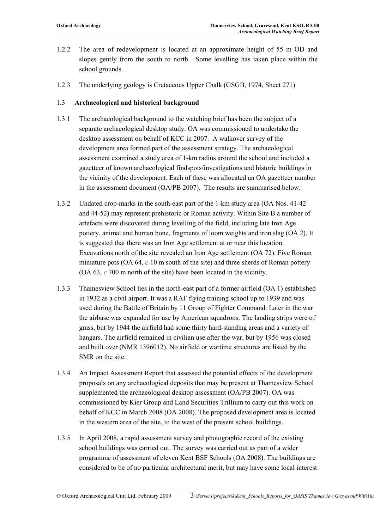- 1.2.2 The area of redevelopment is located at an approximate height of 55 m OD and slopes gently from the south to north. Some levelling has taken place within the school grounds.
- 1.2.3 The underlying geology is Cretaceous Upper Chalk (GSGB, 1974, Sheet 271).

#### 1.3 **Archaeological and historical background**

- 1.3.1 The archaeological background to the watching brief has been the subject of a separate archaeological desktop study. OA was commissioned to undertake the desktop assessment on behalf of KCC in 2007. A walkover survey of the development area formed part of the assessment strategy. The archaeological assessment examined a study area of 1-km radius around the school and included a gazetteer of known archaeological findspots/investigations and historic buildings in the vicinity of the development. Each of these was allocated an OA gazetteer number in the assessment document (OA/PB 2007). The results are summarised below.
- 1.3.2 Undated crop-marks in the south-east part of the 1-km study area (OA Nos. 41-42 and 44-52**)** may represent prehistoric or Roman activity. Within Site B a number of artefacts were discovered during levelling of the field, including late Iron Age pottery, animal and human bone, fragments of loom weights and iron slag (OA 2). It is suggested that there was an Iron Age settlement at or near this location. Excavations north of the site revealed an Iron Age settlement (OA 72). Five Roman miniature pots (OA 64, *c* 10 m south of the site) and three sherds of Roman pottery (OA 63, *c* 700 m north of the site) have been located in the vicinity.
- 1.3.3 Thamesview School lies in the north-east part of a former airfield (OA 1) established in 1932 as a civil airport. It was a RAF flying training school up to 1939 and was used during the Battle of Britain by 11 Group of Fighter Command. Later in the war the airbase was expanded for use by American squadrons. The landing strips were of grass, but by 1944 the airfield had some thirty hard-standing areas and a variety of hangars. The airfield remained in civilian use after the war, but by 1956 was closed and built over (NMR 1396012). No airfield or wartime structures are listed by the SMR on the site.
- 1.3.4 An Impact Assessment Report that assessed the potential effects of the development proposals on any archaeological deposits that may be present at Thamesview School supplemented the archaeological desktop assessment (OA/PB 2007). OA was commissioned by Kier Group and Land Securities Trillium to carry out this work on behalf of KCC in March 2008 (OA 2008). The proposed development area is located in the western area of the site, to the west of the present school buildings.
- 1.3.5 In April 2008, a rapid assessment survey and photographic record of the existing school buildings was carried out. The survey was carried out as part of a wider programme of assessment of eleven Kent BSF Schools (OA 2008). The buildings are considered to be of no particular architectural merit, but may have some local interest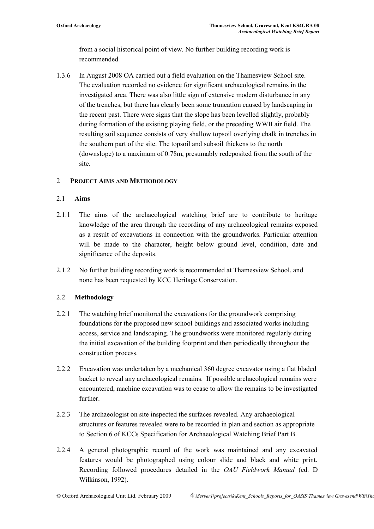from a social historical point of view. No further building recording work is recommended.

1.3.6 In August 2008 OA carried out a field evaluation on the Thamesview School site. The evaluation recorded no evidence for significant archaeological remains in the investigated area. There was also little sign of extensive modern disturbance in any of the trenches, but there has clearly been some truncation caused by landscaping in the recent past. There were signs that the slope has been levelled slightly, probably during formation of the existing playing field, or the preceding WWII air field. The resulting soil sequence consists of very shallow topsoil overlying chalk in trenches in the southern part of the site. The topsoil and subsoil thickens to the north (downslope) to a maximum of 0.78m, presumably redeposited from the south of the site.

#### 2 **PROJECT AIMS AND METHODOLOGY**

#### 2.1 **Aims**

- 2.1.1 The aims of the archaeological watching brief are to contribute to heritage knowledge of the area through the recording of any archaeological remains exposed as a result of excavations in connection with the groundworks. Particular attention will be made to the character, height below ground level, condition, date and significance of the deposits.
- 2.1.2 No further building recording work is recommended at Thamesview School, and none has been requested by KCC Heritage Conservation.

#### 2.2 **Methodology**

- 2.2.1 The watching brief monitored the excavations for the groundwork comprising foundations for the proposed new school buildings and associated works including access, service and landscaping. The groundworks were monitored regularly during the initial excavation of the building footprint and then periodically throughout the construction process.
- 2.2.2 Excavation was undertaken by a mechanical 360 degree excavator using a flat bladed bucket to reveal any archaeological remains. If possible archaeological remains were encountered, machine excavation was to cease to allow the remains to be investigated further.
- 2.2.3 The archaeologist on site inspected the surfaces revealed. Any archaeological structures or features revealed were to be recorded in plan and section as appropriate to Section 6 of KCCs Specification for Archaeological Watching Brief Part B.
- 2.2.4 A general photographic record of the work was maintained and any excavated features would be photographed using colour slide and black and white print. Recording followed procedures detailed in the *OAU Fieldwork Manual* (ed. D Wilkinson, 1992).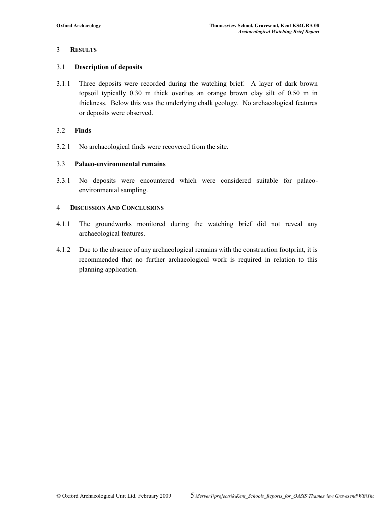#### 3 **RESULTS**

#### 3.1 **Description of deposits**

3.1.1 Three deposits were recorded during the watching brief. A layer of dark brown topsoil typically 0.30 m thick overlies an orange brown clay silt of 0.50 m in thickness. Below this was the underlying chalk geology. No archaeological features or deposits were observed.

#### 3.2 **Finds**

3.2.1 No archaeological finds were recovered from the site.

#### 3.3 **Palaeo-environmental remains**

3.3.1 No deposits were encountered which were considered suitable for palaeoenvironmental sampling.

#### 4 **DISCUSSION AND CONCLUSIONS**

- 4.1.1 The groundworks monitored during the watching brief did not reveal any archaeological features.
- 4.1.2 Due to the absence of any archaeological remains with the construction footprint, it is recommended that no further archaeological work is required in relation to this planning application.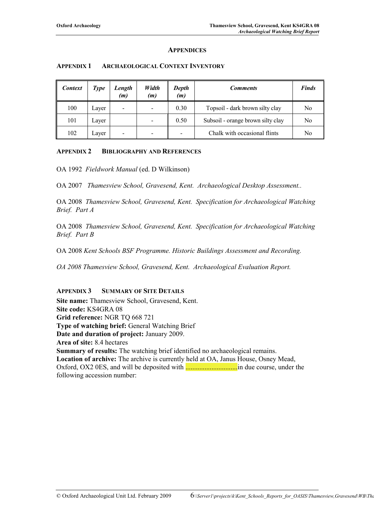#### **APPENDICES**

| <b>Context</b> | Type  | Length<br>(m) | Width<br>(m) | Depth<br>(m) | <b>Comments</b>                   | <b>Finds</b> |
|----------------|-------|---------------|--------------|--------------|-----------------------------------|--------------|
| 100            | Laver | -             |              | 0.30         | Topsoil - dark brown silty clay   | No           |
| 101            | Laver |               |              | 0.50         | Subsoil - orange brown silty clay | No           |
| 102            | Laver |               |              | -            | Chalk with occasional flints      | No           |

#### **APPENDIX 1 ARCHAEOLOGICAL CONTEXT INVENTORY**

#### **APPENDIX 2 BIBLIOGRAPHY AND REFERENCES**

OA 1992 *Fieldwork Manual* (ed. D Wilkinson)

OA 2007 *Thamesview School, Gravesend, Kent. Archaeological Desktop Assessment..* 

OA 2008 *Thamesview School, Gravesend, Kent. Specification for Archaeological Watching Brief. Part A* 

OA 2008 *Thamesview School, Gravesend, Kent. Specification for Archaeological Watching Brief. Part B* 

OA 2008 *Kent Schools BSF Programme. Historic Buildings Assessment and Recording.* 

*OA 2008 Thamesview School, Gravesend, Kent. Archaeological Evaluation Report.* 

#### **APPENDIX 3 SUMMARY OF SITE DETAILS**

**Site name:** Thamesview School, Gravesend, Kent. **Site code:** KS4GRA 08 **Grid reference:** NGR TQ 668 721 **Type of watching brief:** General Watching Brief **Date and duration of project:** January 2009. **Area of site:** 8.4 hectares **Summary of results:** The watching brief identified no archaeological remains. **Location of archive:** The archive is currently held at OA, Janus House, Osney Mead, Oxford, OX2 0ES, and will be deposited with **..................................** in due course, under the following accession number: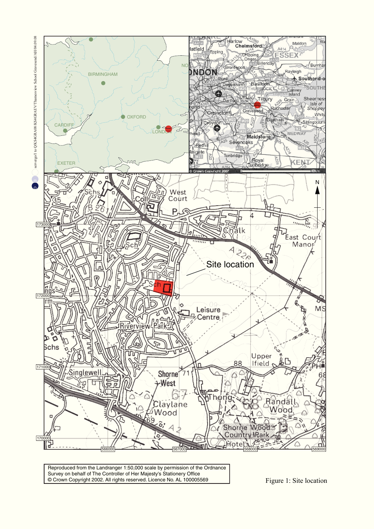

Reproduced from the Landranger 1:50,000 scale by permission of the Ordnance Survey on behalf of The Controller of Her Majesty's Stationery Office © Crown Copyright 2002. All rights reserved. Licence No. AL 100005569 Figure 1: Site location